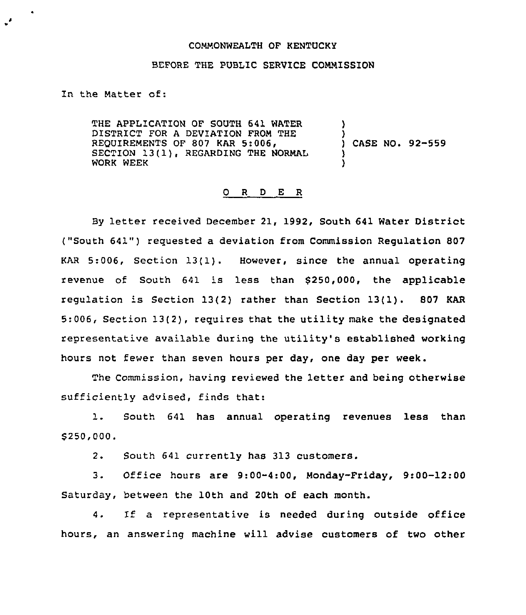## COMMONWEALTH OF KENTUCKY

## BEFORE THE PUBLIC SERVICE COMMISSION

In the Matter of:

THE APPLICATION OF SOUTH 641 WATER DISTRICT FOR A DEVIATION FROM THE REQUIREMENTS OF 807 KAR 5:006, SECTION 13(1), REGARDING THE NORMAL WORK WEEK ) ) ) )

) CASE NO. 92-559

## 0 <sup>R</sup> <sup>D</sup> E <sup>R</sup>

By letter received December 21, 1992, South 641 Water District ("South 641") requested <sup>a</sup> deviation from Commission Regulation 807 KAR 5:006, Section 13(1). However, since the annual operating revenue of South 641 is less than 5250,000, the applicable regulation is Section 13(2) rather than Section 13(1). 807 KAR 5:006, Section 13(2), requires that the utility make the designated representative available during the utility's established working hours not fewer than seven hours per day, one day per week.

The Commission, having reviewed the letter and being otherwise sufficiently advised, finds that:

1. South <sup>641</sup> has annual operating revenues less than 5250,000.

 $2.$ South 641 currently has 313 customers.

 $3.$ Office hours are 9:00-4:00, Monday-Friday, 9:00-12:00 Saturday, between the 10th and 20th of each month.

1f a representative is needed during outside office 4. hours, an answering machine will advise customers of two other